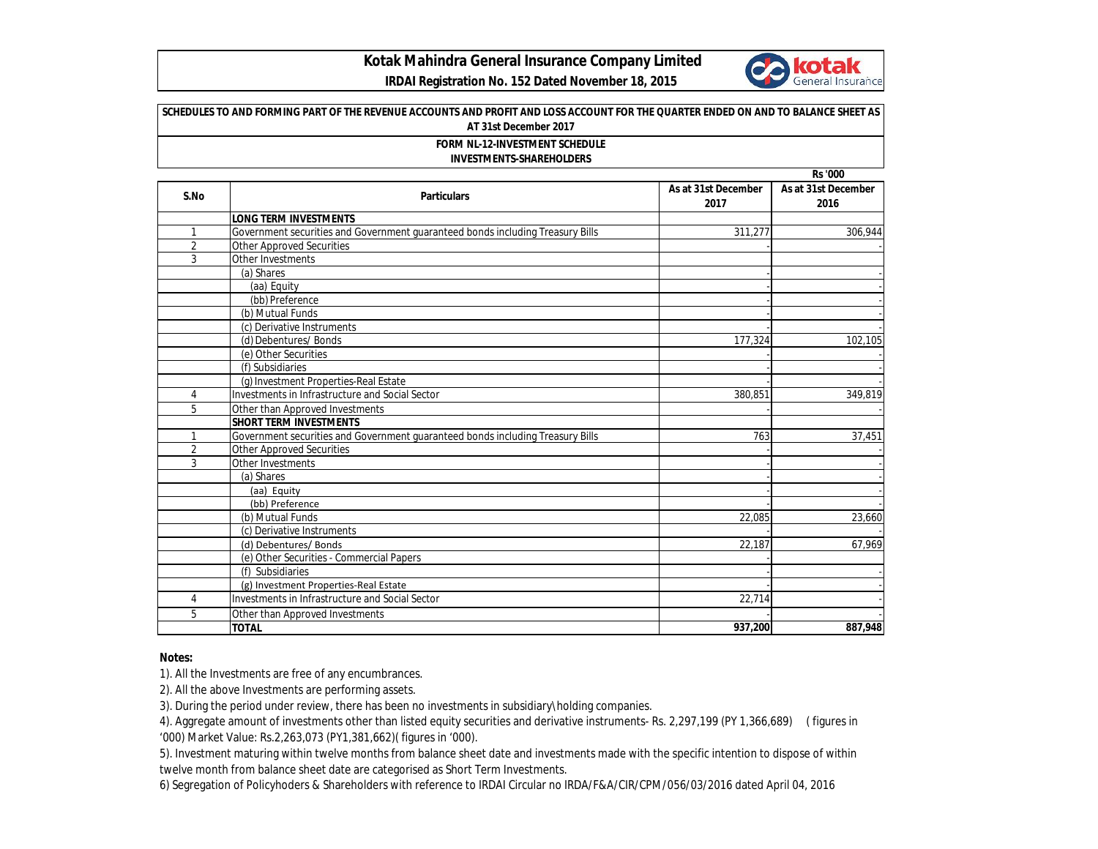

 **IRDAI Registration No. 152 Dated November 18, 2015**

| <b>FORM NL-12-INVESTMENT SCHEDULE</b><br><b>INVESTMENTS-SHAREHOLDERS</b> |                                                                                |                             |                             |  |
|--------------------------------------------------------------------------|--------------------------------------------------------------------------------|-----------------------------|-----------------------------|--|
|                                                                          |                                                                                |                             | <b>Rs</b> '000              |  |
| S.No                                                                     | <b>Particulars</b>                                                             | As at 31st December<br>2017 | As at 31st December<br>2016 |  |
|                                                                          | <b>LONG TERM INVESTMENTS</b>                                                   |                             |                             |  |
| $\mathbf{1}$                                                             | Government securities and Government guaranteed bonds including Treasury Bills | 311,277                     | 306,944                     |  |
| $\overline{2}$                                                           | <b>Other Approved Securities</b>                                               |                             |                             |  |
| 3                                                                        | Other Investments                                                              |                             |                             |  |
|                                                                          | (a) Shares                                                                     |                             |                             |  |
|                                                                          | (aa) Equity                                                                    |                             |                             |  |
|                                                                          | (bb) Preference                                                                |                             |                             |  |
|                                                                          | (b) Mutual Funds                                                               |                             |                             |  |
|                                                                          | (c) Derivative Instruments                                                     |                             |                             |  |
|                                                                          | (d) Debentures/ Bonds                                                          | 177,324                     | 102,105                     |  |
|                                                                          | (e) Other Securities                                                           |                             |                             |  |
|                                                                          | (f) Subsidiaries                                                               |                             |                             |  |
|                                                                          | (g) Investment Properties-Real Estate                                          |                             |                             |  |
| 4                                                                        | Investments in Infrastructure and Social Sector                                | 380,851                     | 349,819                     |  |
| 5                                                                        | Other than Approved Investments                                                |                             |                             |  |
|                                                                          | <b>SHORT TERM INVESTMENTS</b>                                                  |                             |                             |  |
| $\mathbf{1}$                                                             | Government securities and Government quaranteed bonds including Treasury Bills | 763                         | 37,451                      |  |
| $\overline{2}$                                                           | <b>Other Approved Securities</b>                                               |                             |                             |  |
| 3                                                                        | Other Investments                                                              |                             |                             |  |
|                                                                          | (a) Shares                                                                     |                             |                             |  |
|                                                                          | (aa) Equity                                                                    |                             |                             |  |
|                                                                          | (bb) Preference                                                                |                             |                             |  |
|                                                                          | (b) Mutual Funds                                                               | 22.085                      | 23,660                      |  |
|                                                                          | (c) Derivative Instruments                                                     |                             |                             |  |
|                                                                          | (d) Debentures/ Bonds                                                          | 22,187                      | 67,969                      |  |
|                                                                          | (e) Other Securities - Commercial Papers                                       |                             |                             |  |
|                                                                          | (f) Subsidiaries                                                               |                             |                             |  |
|                                                                          | (g) Investment Properties-Real Estate                                          |                             |                             |  |
| 4                                                                        | Investments in Infrastructure and Social Sector                                | 22,714                      |                             |  |
| 5                                                                        | Other than Approved Investments                                                |                             |                             |  |
|                                                                          | <b>TOTAL</b>                                                                   | 937,200                     | 887,948                     |  |

## **Notes:**

1). All the Investments are free of any encumbrances.

2). All the above Investments are performing assets.

3). During the period under review, there has been no investments in subsidiary\holding companies.

4). Aggregate amount of investments other than listed equity securities and derivative instruments- Rs. 2,297,199 (PY 1,366,689) ( figures in '000) Market Value: Rs.2,263,073 (PY1,381,662)( figures in '000).

5). Investment maturing within twelve months from balance sheet date and investments made with the specific intention to dispose of within twelve month from balance sheet date are categorised as Short Term Investments.

6) Segregation of Policyhoders & Shareholders with reference to IRDAI Circular no IRDA/F&A/CIR/CPM/056/03/2016 dated April 04, 2016